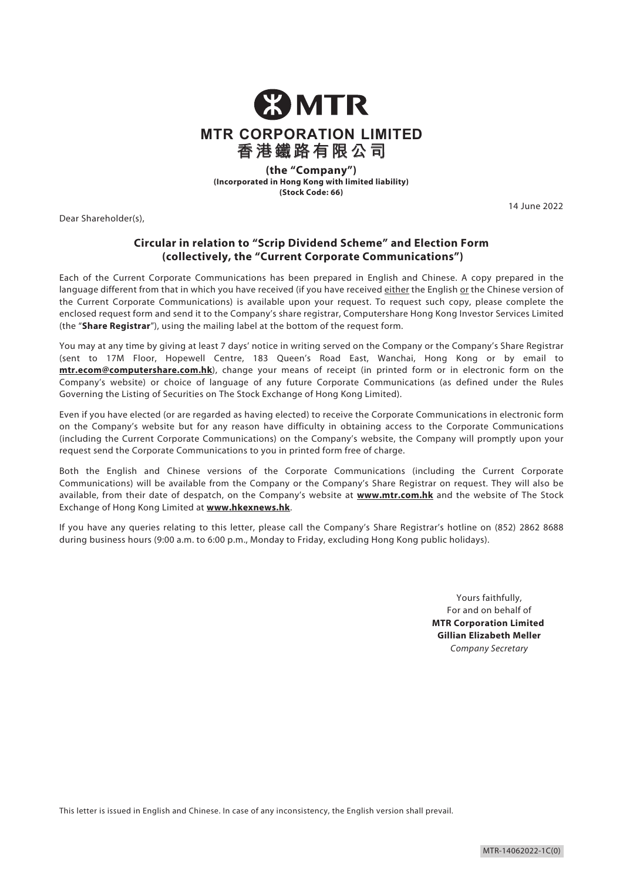

**(the "Company") (Incorporated in Hong Kong with limited liability) (Stock Code: 66)**

Dear Shareholder(s),

14 June 2022

# **Circular in relation to "Scrip Dividend Scheme" and Election Form (collectively, the "Current Corporate Communications")**

Each of the Current Corporate Communications has been prepared in English and Chinese. A copy prepared in the language different from that in which you have received (if you have received either the English or the Chinese version of the Current Corporate Communications) is available upon your request. To request such copy, please complete the enclosed request form and send it to the Company's share registrar, Computershare Hong Kong Investor Services Limited (the "**Share Registrar**"), using the mailing label at the bottom of the request form.

You may at any time by giving at least 7 days' notice in writing served on the Company or the Company's Share Registrar (sent to 17M Floor, Hopewell Centre, 183 Queen's Road East, Wanchai, Hong Kong or by email to **mtr.ecom@computershare.com.hk**), change your means of receipt (in printed form or in electronic form on the Company's website) or choice of language of any future Corporate Communications (as defined under the Rules Governing the Listing of Securities on The Stock Exchange of Hong Kong Limited).

Even if you have elected (or are regarded as having elected) to receive the Corporate Communications in electronic form on the Company's website but for any reason have difficulty in obtaining access to the Corporate Communications (including the Current Corporate Communications) on the Company's website, the Company will promptly upon your request send the Corporate Communications to you in printed form free of charge.

Both the English and Chinese versions of the Corporate Communications (including the Current Corporate Communications) will be available from the Company or the Company's Share Registrar on request. They will also be available, from their date of despatch, on the Company's website at **www.mtr.com.hk** and the website of The Stock Exchange of Hong Kong Limited at **www.hkexnews.hk**.

If you have any queries relating to this letter, please call the Company's Share Registrar's hotline on (852) 2862 8688 during business hours (9:00 a.m. to 6:00 p.m., Monday to Friday, excluding Hong Kong public holidays).

> Yours faithfully, For and on behalf of **MTR Corporation Limited Gillian Elizabeth Meller** *Company Secretary*

This letter is issued in English and Chinese. In case of any inconsistency, the English version shall prevail.